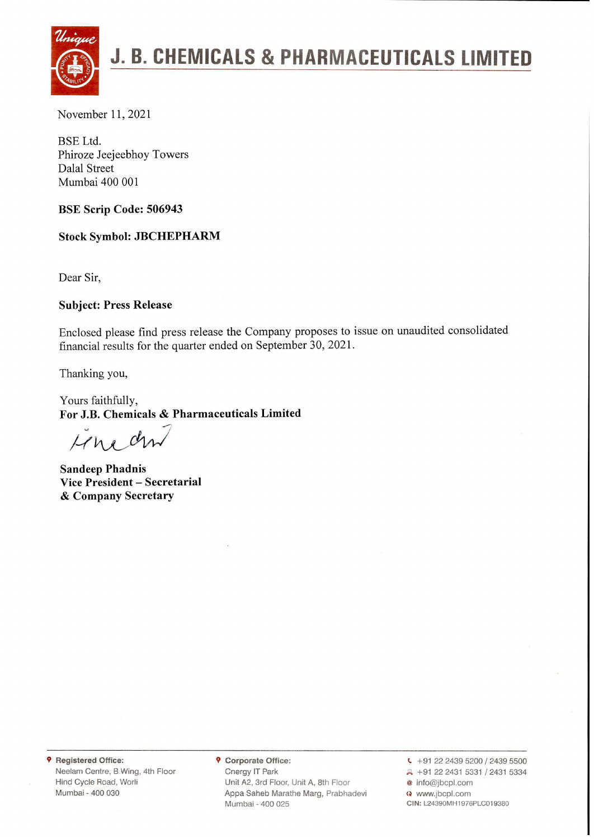

# **" J. B. CHEMICALS & PHARMACEUTICALS LIMITED**

BSE Ltd. Phiroze Jeejeebhoy Towers Dalal Street Mumbai 400 001

**BSE Scrip Code: 506943**

**Stock Symbol: JBCHEPHARM**

Dear Sir,

#### **Subject: Press Release**

Enclosed please find press release the Company proposes to issue on unaudited consolidated financial results for the quarter ended on September 30, 2021.

Thanking you,

Yours faithfully, **For J.B. Chemicals** & **Pharmaceuticals Limited**

 $Mn$ *dm* 

**Sandeep Phadnis Vice President - Secretarial** & **Company Secretary**

**9 Registered Office:** Neelam Centre, <sup>B</sup> Wing, 4th Floor Hind Cycle Road, Worli Mumbai - 400 030

**9 Corporate Office:** Cnergy IT Park Unit A2, 3rd Floor, Unit A, 8th Floor Appa Saheb Marathe Marg, Prabhadevi Mumbai - 400 025

 $\leftarrow$  +91 22 2439 5200 / 2439 5500 A +91 22 2431 5331 / 2431 5334 @ info@jbcpl.com www.jbcpl.com **CIN:** L24390MH1976PLC019380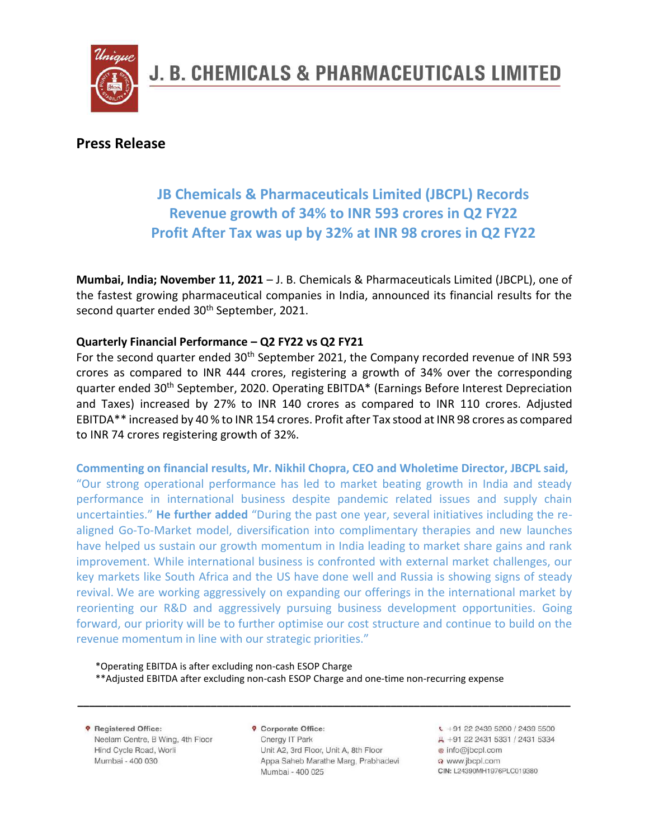

### **Press Release**

# **JB Chemicals & Pharmaceuticals Limited (JBCPL) Records Revenue growth of 34% to INR 593 crores in Q2 FY22 Profit After Tax was up by 32% at INR 98 crores in Q2 FY22**

**Mumbai, India; November 11, 2021** – J. B. Chemicals & Pharmaceuticals Limited (JBCPL), one of the fastest growing pharmaceutical companies in India, announced its financial results for the second quarter ended 30<sup>th</sup> September, 2021.

#### **Quarterly Financial Performance – Q2 FY22 vs Q2 FY21**

For the second quarter ended  $30<sup>th</sup>$  September 2021, the Company recorded revenue of INR 593 crores as compared to INR 444 crores, registering a growth of 34% over the corresponding quarter ended 30<sup>th</sup> September, 2020. Operating EBITDA\* (Earnings Before Interest Depreciation and Taxes) increased by 27% to INR 140 crores as compared to INR 110 crores. Adjusted EBITDA\*\* increased by 40 % to INR 154 crores. Profit after Tax stood at INR 98 crores as compared to INR 74 crores registering growth of 32%.

**Commenting on financial results, Mr. Nikhil Chopra, CEO and Wholetime Director, JBCPL said,** "Our strong operational performance has led to market beating growth in India and steady performance in international business despite pandemic related issues and supply chain uncertainties." **He further added** "During the past one year, several initiatives including the realigned Go-To-Market model, diversification into complimentary therapies and new launches have helped us sustain our growth momentum in India leading to market share gains and rank improvement. While international business is confronted with external market challenges, our key markets like South Africa and the US have done well and Russia is showing signs of steady revival. We are working aggressively on expanding our offerings in the international market by reorienting our R&D and aggressively pursuing business development opportunities. Going forward, our priority will be to further optimise our cost structure and continue to build on the revenue momentum in line with our strategic priorities."

\*Operating EBITDA is after excluding non-cash ESOP Charge \*\*Adjusted EBITDA after excluding non-cash ESOP Charge and one-time non-recurring expense

**9** Registered Office: Neelam Centre, B Wing, 4th Floor Hind Cycle Road, Worli Mumbai - 400 030

**9** Corporate Office: Cnergy IT Park Unit A2, 3rd Floor, Unit A, 8th Floor Appa Saheb Marathe Marg, Prabhadevi Mumbai - 400 025

**\_\_\_\_\_\_\_\_\_\_\_\_\_\_\_\_\_\_\_\_\_\_\_\_\_\_\_\_\_\_\_\_\_\_\_\_\_\_\_\_\_\_\_\_\_\_\_\_\_\_\_\_\_\_\_\_\_\_\_\_\_\_\_\_\_\_\_\_\_\_\_\_\_\_\_\_\_\_\_\_\_\_\_\_\_**

 $\sqrt{+91}$  22 2439 5200 / 2439 5500 具 +91 22 2431 5331 / 2431 5334 @ info@jbcpl.com a www.ibcol.com CIN: L24390MH1976PLC019380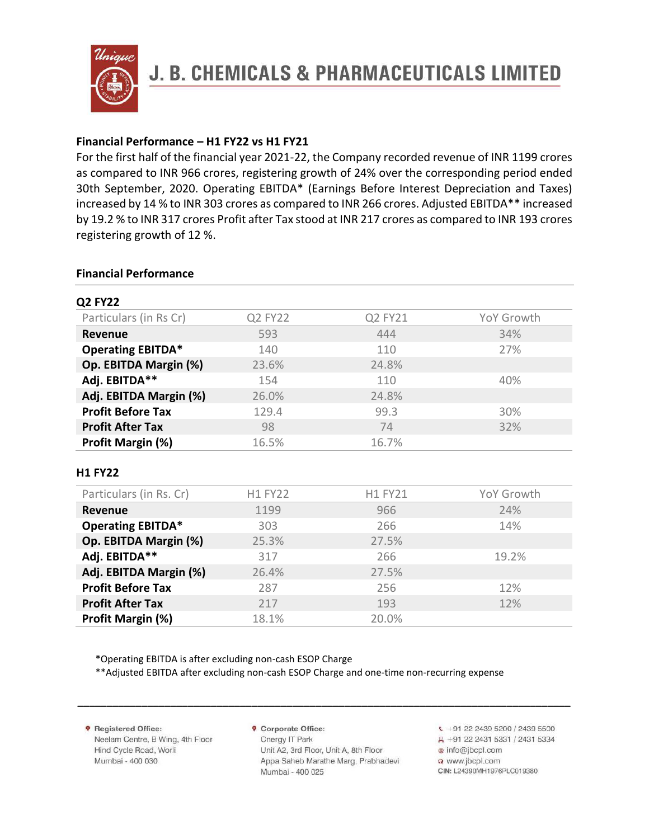

#### **Financial Performance – H1 FY22 vs H1 FY21**

For the first half of the financial year 2021-22, the Company recorded revenue of INR 1199 crores as compared to INR 966 crores, registering growth of 24% over the corresponding period ended 30th September, 2020. Operating EBITDA\* (Earnings Before Interest Depreciation and Taxes) increased by 14 % to INR 303 crores as compared to INR 266 crores. Adjusted EBITDA\*\* increased by 19.2 % to INR 317 crores Profit after Tax stood at INR 217 crores as compared to INR 193 crores registering growth of 12 %.

#### **Financial Performance**

| Particulars (in Rs Cr)   | Q2 FY22 | Q2 FY21 | YoY Growth |
|--------------------------|---------|---------|------------|
| Revenue                  | 593     | 444     | 34%        |
| <b>Operating EBITDA*</b> | 140     | 110     | 27%        |
| Op. EBITDA Margin (%)    | 23.6%   | 24.8%   |            |
| Adj. EBITDA**            | 154     | 110     | 40%        |
| Adj. EBITDA Margin (%)   | 26.0%   | 24.8%   |            |
| <b>Profit Before Tax</b> | 129.4   | 99.3    | 30%        |
| <b>Profit After Tax</b>  | 98      | 74      | 32%        |
| Profit Margin (%)        | 16.5%   | 16.7%   |            |

#### **H1 FY22**

| Particulars (in Rs. Cr)  | <b>H1 FY22</b> | <b>H1 FY21</b> | YoY Growth |
|--------------------------|----------------|----------------|------------|
| <b>Revenue</b>           | 1199           | 966            | 24%        |
| <b>Operating EBITDA*</b> | 303            | 266            | 14%        |
| Op. EBITDA Margin (%)    | 25.3%          | 27.5%          |            |
| Adj. EBITDA**            | 317            | 266            | 19.2%      |
| Adj. EBITDA Margin (%)   | 26.4%          | 27.5%          |            |
| <b>Profit Before Tax</b> | 287            | 256            | 12%        |
| <b>Profit After Tax</b>  | 217            | 193            | 12%        |
| Profit Margin (%)        | 18.1%          | 20.0%          |            |

\*Operating EBITDA is after excluding non-cash ESOP Charge

\*\*Adjusted EBITDA after excluding non-cash ESOP Charge and one-time non-recurring expense

**9** Registered Office: Neelam Centre, B Wing, 4th Floor Hind Cycle Road, Worli Mumbai - 400 030

**9** Corporate Office: Cnergy IT Park Unit A2, 3rd Floor, Unit A, 8th Floor Appa Saheb Marathe Marg, Prabhadevi Mumbai - 400 025

**\_\_\_\_\_\_\_\_\_\_\_\_\_\_\_\_\_\_\_\_\_\_\_\_\_\_\_\_\_\_\_\_\_\_\_\_\_\_\_\_\_\_\_\_\_\_\_\_\_\_\_\_\_\_\_\_\_\_\_\_\_\_\_\_\_\_\_\_\_\_\_\_\_\_\_\_\_\_\_\_\_\_\_\_\_**

 $\sqrt{+91}$  22 2439 5200 / 2439 5500 具 +91 22 2431 5331 / 2431 5334 @ info@jbcpl.com o www.jbcpl.com CIN: L24390MH1976PLC019380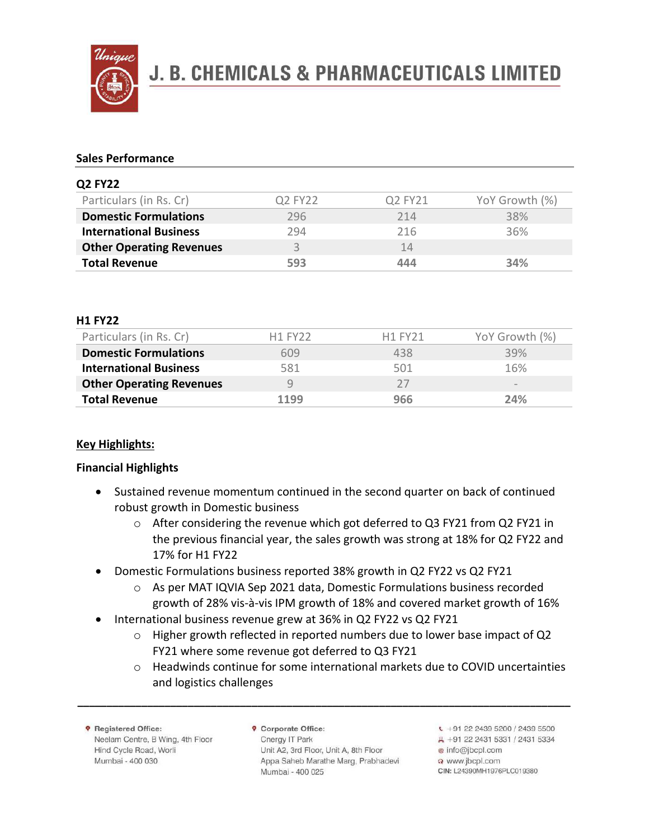

# **J. B. CHEMICALS & PHARMACEUTICALS LIMITED**

#### **Sales Performance**

| <b>Q2 FY22</b>                  |         |         |                |
|---------------------------------|---------|---------|----------------|
| Particulars (in Rs. Cr)         | Q2 FY22 | Q2 FY21 | YoY Growth (%) |
| <b>Domestic Formulations</b>    | 296     | 214     | 38%            |
| <b>International Business</b>   | 294     | 216     | 36%            |
| <b>Other Operating Revenues</b> |         | 14      |                |
| <b>Total Revenue</b>            | 593     | 444     | 34%            |
|                                 |         |         |                |

#### **H1 FY22**

| Particulars (in Rs. Cr)         | <b>H1 FY22</b> | H <sub>1</sub> FY <sub>21</sub> | YoY Growth (%)  |
|---------------------------------|----------------|---------------------------------|-----------------|
| <b>Domestic Formulations</b>    | 609            | 438                             | 39%             |
| <b>International Business</b>   | 581            | 501                             | 16%             |
| <b>Other Operating Revenues</b> | g              | フフ                              | $\qquad \qquad$ |
| <b>Total Revenue</b>            | 1199           | 966                             | 24%             |

#### **Key Highlights:**

#### **Financial Highlights**

- Sustained revenue momentum continued in the second quarter on back of continued robust growth in Domestic business
	- o After considering the revenue which got deferred to Q3 FY21 from Q2 FY21 in the previous financial year, the sales growth was strong at 18% for Q2 FY22 and 17% for H1 FY22
- Domestic Formulations business reported 38% growth in Q2 FY22 vs Q2 FY21
	- o As per MAT IQVIA Sep 2021 data, Domestic Formulations business recorded growth of 28% vis-à-vis IPM growth of 18% and covered market growth of 16%
- International business revenue grew at 36% in Q2 FY22 vs Q2 FY21
	- $\circ$  Higher growth reflected in reported numbers due to lower base impact of Q2 FY21 where some revenue got deferred to Q3 FY21
	- $\circ$  Headwinds continue for some international markets due to COVID uncertainties and logistics challenges

**9** Registered Office: Neelam Centre, B Wing, 4th Floor Hind Cycle Road, Worli Mumbai - 400 030

**9** Corporate Office: Cnergy IT Park Unit A2, 3rd Floor, Unit A, 8th Floor Appa Saheb Marathe Marg, Prabhadevi Mumbai - 400 025

**\_\_\_\_\_\_\_\_\_\_\_\_\_\_\_\_\_\_\_\_\_\_\_\_\_\_\_\_\_\_\_\_\_\_\_\_\_\_\_\_\_\_\_\_\_\_\_\_\_\_\_\_\_\_\_\_\_\_\_\_\_\_\_\_\_\_\_\_\_\_\_\_\_\_\_\_\_\_\_\_\_\_\_\_\_**

 $\sqrt{+91}$  22 2439 5200 / 2439 5500 具 +91 22 2431 5331 / 2431 5334 @ info@jbcpl.com o www.jbcpl.com CIN: L24390MH1976PLC019380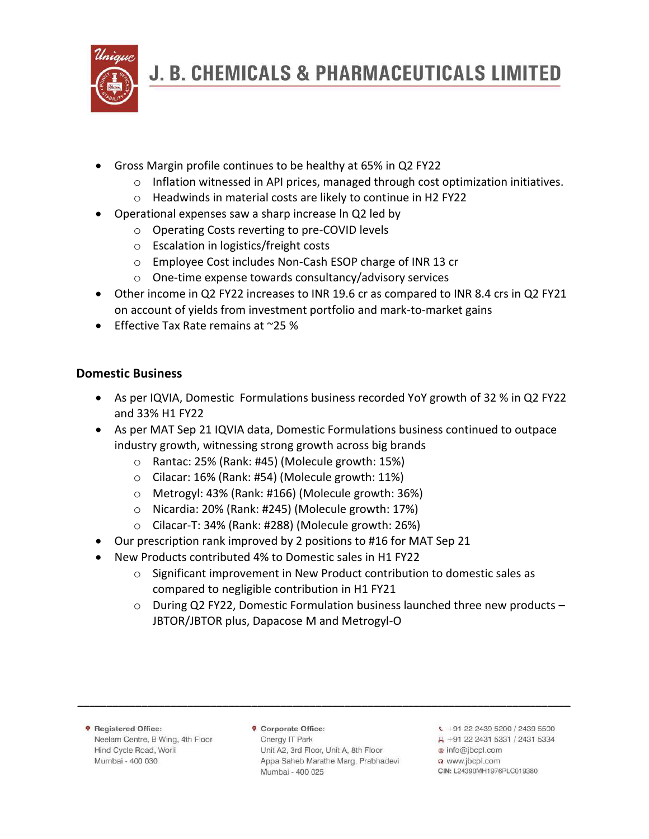

- Gross Margin profile continues to be healthy at 65% in Q2 FY22
	- $\circ$  Inflation witnessed in API prices, managed through cost optimization initiatives.
	- o Headwinds in material costs are likely to continue in H2 FY22
- Operational expenses saw a sharp increase ln Q2 led by
	- o Operating Costs reverting to pre-COVID levels
	- o Escalation in logistics/freight costs
	- o Employee Cost includes Non-Cash ESOP charge of INR 13 cr
	- o One-time expense towards consultancy/advisory services
- Other income in Q2 FY22 increases to INR 19.6 cr as compared to INR 8.4 crs in Q2 FY21 on account of yields from investment portfolio and mark-to-market gains
- Effective Tax Rate remains at ~25 %

## **Domestic Business**

- As per IQVIA, Domestic Formulations business recorded YoY growth of 32 % in Q2 FY22 and 33% H1 FY22
- As per MAT Sep 21 IQVIA data, Domestic Formulations business continued to outpace industry growth, witnessing strong growth across big brands
	- o Rantac: 25% (Rank: #45) (Molecule growth: 15%)
	- o Cilacar: 16% (Rank: #54) (Molecule growth: 11%)
	- o Metrogyl: 43% (Rank: #166) (Molecule growth: 36%)
	- o Nicardia: 20% (Rank: #245) (Molecule growth: 17%)
	- o Cilacar-T: 34% (Rank: #288) (Molecule growth: 26%)
- Our prescription rank improved by 2 positions to #16 for MAT Sep 21
- New Products contributed 4% to Domestic sales in H1 FY22
	- $\circ$  Significant improvement in New Product contribution to domestic sales as compared to negligible contribution in H1 FY21
	- o During Q2 FY22, Domestic Formulation business launched three new products JBTOR/JBTOR plus, Dapacose M and Metrogyl-O

**9** Registered Office: Neelam Centre, B Wing, 4th Floor Hind Cycle Road, Worli Mumbai - 400 030

**9** Corporate Office: Cnergy IT Park Unit A2, 3rd Floor, Unit A, 8th Floor Appa Saheb Marathe Marg, Prabhadevi Mumbai - 400 025

**\_\_\_\_\_\_\_\_\_\_\_\_\_\_\_\_\_\_\_\_\_\_\_\_\_\_\_\_\_\_\_\_\_\_\_\_\_\_\_\_\_\_\_\_\_\_\_\_\_\_\_\_\_\_\_\_\_\_\_\_\_\_\_\_\_\_\_\_\_\_\_\_\_\_\_\_\_\_\_\_\_\_\_\_\_**

- $\frac{1}{2}$  +91 22 2439 5200 / 2439 5500 具 +91 22 2431 5331 / 2431 5334 @ info@jbcpl.com
- @ www.jbcpl.com CIN: L24390MH1976PLC019380